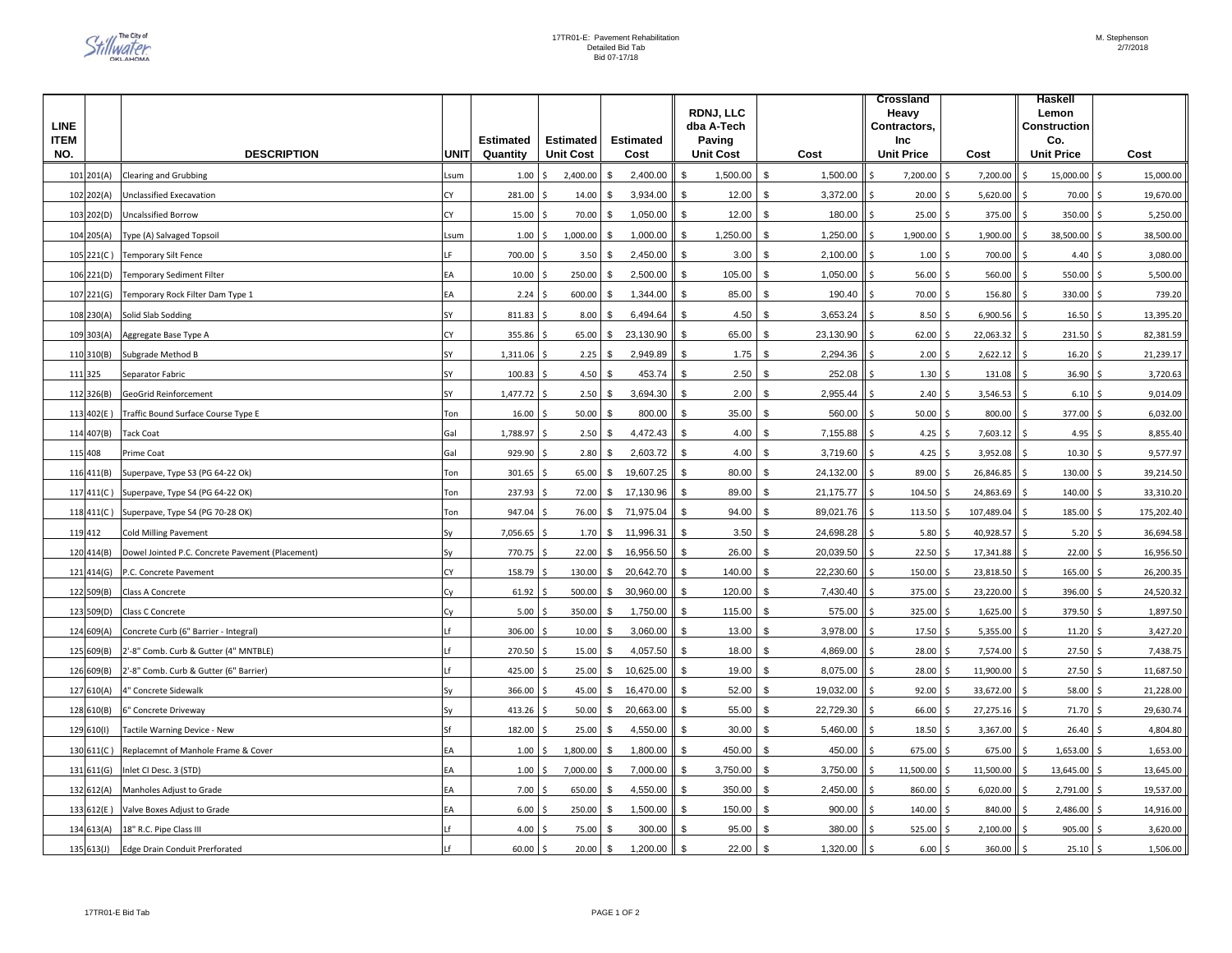| <b>LINE</b>        |                                                  |      |                       |                                      |                           | RDNJ, LLC<br>dba A-Tech            |                |                          |    | <b>Crossland</b><br>Heavy<br>Contractors, |          |                          | Haskell<br>Lemon<br><b>Construction</b> |            |
|--------------------|--------------------------------------------------|------|-----------------------|--------------------------------------|---------------------------|------------------------------------|----------------|--------------------------|----|-------------------------------------------|----------|--------------------------|-----------------------------------------|------------|
| <b>ITEM</b><br>NO. | <b>DESCRIPTION</b>                               | UNIT | Estimated<br>Quantity | <b>Estimated</b><br><b>Unit Cost</b> | <b>Estimated</b><br>Cost  | Paving<br><b>Unit Cost</b><br>Cost |                | Inc<br><b>Unit Price</b> |    | Cost                                      |          | Co.<br><b>Unit Price</b> | Cost                                    |            |
| 101 201(A)         | <b>Clearing and Grubbing</b>                     | sum  | 1.00                  | 2,400.00                             | 2,400.00<br>\$            | 1,500.00<br>\$.                    | \$             | 1,500.00                 |    | 7,200.00                                  |          | 7,200.00                 | 15,000.00                               | 15,000.00  |
| 102 202(A)         | Unclassified Execavation                         | CY   | 281.00                | 14.00                                | 3,934.00<br>\$            | 12.00<br>\$                        | \$             | 3,372.00                 |    | 20.00                                     |          | 5,620.00                 | 70.00                                   | 19,670.00  |
| 103 202(D)         | <b>Uncalssified Borrow</b>                       | CY   | 15.00                 | 70.00                                | \$<br>1,050.00            | 12.00<br>$\mathfrak{L}$            | \$             | 180.00                   |    | 25.00                                     |          | 375.00                   | 350.00                                  | 5,250.00   |
| 104 205(A)         | Type (A) Salvaged Topsoil                        | sum  | 1.00                  | 1,000.00                             | \$<br>1,000.00            | $\mathfrak{L}$<br>1,250.00         | $\mathfrak{s}$ | 1,250.00                 |    | 1,900.00                                  |          | 1,900.00                 | 38,500.00                               | 38,500.00  |
| $105$ 221(C)       | <b>Temporary Silt Fence</b>                      |      | 700.00                | 3.50                                 | \$<br>2,450.00            | \$<br>3.00                         | \$             | 2,100.00                 | Ś. | 1.00                                      | <b>S</b> | 700.00                   | 4.40<br>Ś                               | 3,080.00   |
| 106 221(D)         | <b>Temporary Sediment Filter</b>                 | EА   | 10.00                 | 250.00                               | \$<br>2,500.00            | \$<br>105.00                       | $\mathbb{S}$   | 1,050.00                 |    | 56.00                                     | Ś        | 560.00                   | 550.00                                  | 5,500.00   |
| 107 221(G)         | Temporary Rock Filter Dam Type 1                 | ΕA   | 2.24                  | 600.00                               | \$<br>1,344.00            | \$<br>85.00                        | $\mathfrak s$  | 190.40                   |    | 70.00                                     | Ś        | 156.80                   | 330.00<br>Ś                             | 739.20     |
| 108 230(A)         | Solid Slab Sodding                               | SΥ   | 811.83                | 8.00                                 | \$<br>6,494.64            | 4.50<br>\$                         | \$             | 3,653.24                 |    | 8.50                                      | .S       | 6,900.56                 | 16.50                                   | 13,395.20  |
| 109 303(A)         | Aggregate Base Type A                            | СY   | 355.86                | 65.00                                | 23,130.90<br>\$           | 65.00<br>\$                        | $\mathfrak s$  | 23,130.90                |    | 62.00                                     |          | 22,063.32                | 231.50                                  | 82,381.59  |
| 110 310(B)         | Subgrade Method B                                | SY   | 1,311.06              | 2.25                                 | 2,949.89<br>\$            | \$<br>1.75                         | $\sqrt[6]{3}$  | 2,294.36                 |    | 2.00                                      |          | 2,622.12                 | 16.20                                   | 21,239.17  |
| 111 325            | Separator Fabric                                 | SY   | 100.83                | 4.50                                 | 453.74<br>\$              | \$<br>2.50                         | \$             | 252.08                   |    | 1.30                                      |          | 131.08                   | 36.90                                   | 3,720.63   |
| 112 326(B)         | <b>GeoGrid Reinforcement</b>                     | SY   | 1,477.72              | 2.50                                 | 3,694.30<br>\$            | \$<br>2.00                         | \$             | 2,955.44                 |    | 2.40                                      |          | 3,546.53                 | 6.10                                    | 9,014.09   |
| 113 402(E)         | Traffic Bound Surface Course Type E              | Ton  | 16.00                 | 50.00                                | \$<br>800.00              | 35.00<br>\$                        | <sup>\$</sup>  | 560.00                   |    | 50.00                                     |          | 800.00                   | 377.00                                  | 6,032.00   |
| 114 407(B)         | <b>Tack Coat</b>                                 | Gal  | 1,788.97              | 2.50                                 | \$<br>4,472.43            | \$<br>4.00                         | \$             | 7,155.88                 |    | 4.25                                      |          | 7,603.12                 | 4.95<br>l \$                            | 8,855.40   |
| 115 408            | Prime Coat                                       | Gal  | 929.90                | 2.80                                 | \$<br>2,603.72            | 4.00<br>\$                         | \$             | 3,719.60                 | Ś. | 4.25                                      |          | 3,952.08                 | 10.30<br>Ŝ.                             | 9,577.97   |
| 116 411(B)         | Superpave, Type S3 (PG 64-22 Ok)                 | Ton  | 301.65                | 65.00                                | \$<br>19,607.25           | 80.00<br>\$                        | \$             | 24,132.00                |    | 89.00                                     |          | 26,846.85                | 130.00                                  | 39,214.50  |
| 117 411(C)         | Superpave, Type S4 (PG 64-22 OK)                 | Ton  | 237.93                | 72.00                                | \$<br>17,130.96           | 89.00<br>\$                        | \$             | 21,175.77                |    | 104.50                                    |          | 24,863.69                | 140.00                                  | 33,310.20  |
| 118   411(C)       | Superpave, Type S4 (PG 70-28 OK)                 | Ton  | 947.04                | 76.00                                | \$71,975.04               | \$<br>94.00                        | \$             | 89,021.76                |    | 113.50                                    |          | 107,489.04               | 185.00<br>.S                            | 175,202.40 |
| 119 412            | <b>Cold Milling Pavement</b>                     |      | 7,056.65              | 1.70                                 | \$<br>11,996.31           | \$<br>3.50                         | \$             | 24,698.28                |    | 5.80                                      |          | 40,928.57                | 5.20<br>.S                              | 36,694.58  |
| 120 414(B)         | Dowel Jointed P.C. Concrete Pavement (Placement) |      | 770.75                | 22.00                                | \$<br>16,956.50           | 26.00<br>$\mathfrak{L}$            | \$             | 20,039.50                |    | 22.50                                     |          | 17,341.88                | 22.00                                   | 16,956.50  |
|                    | 121 414(G) P.C. Concrete Pavement                | СY   | 158.79                | 130.00                               | $\mathbb{S}$<br>20,642.70 | \$<br>140.00                       | $\mathfrak s$  | 22,230.60                |    | 150.00                                    | Ŝ.       | 23,818.50                | 165.00<br>\$                            | 26,200.35  |
| 122 509(B)         | <b>Class A Concrete</b>                          | Сy   | 61.92                 | 500.00                               | \$<br>30,960.00           | $\mathfrak{L}$<br>120.00           | \$             | 7,430.40                 |    | 375.00                                    | <b>S</b> | 23,220.00                | 396.00                                  | 24,520.32  |
| 123 509(D)         | Class C Concrete                                 | Cv   | 5.00                  | 350.00                               | \$<br>1,750.00            | 115.00<br>\$                       | \$             | 575.00                   |    | 325.00                                    | Ŝ.       | 1,625.00                 | 379.50<br>Ś.                            | 1,897.50   |
| 124 609(A)         | Concrete Curb (6" Barrier - Integral)            |      | 306.00                | 10.00                                | 3,060.00<br>\$            | $\mathfrak{L}$<br>13.00            | \$             | 3,978.00                 |    | 17.50                                     |          | 5,355.00                 | 11.20                                   | 3,427.20   |
| 125 609(B)         | 2'-8" Comb. Curb & Gutter (4" MNTBLE)            |      | 270.50                | 15.00                                | s.<br>4,057.50            | 18.00<br>\$                        | \$             | 4,869.00                 |    | 28.00                                     |          | 7,574.00                 | 27.50                                   | 7,438.75   |
| 126 609(B)         | 2'-8" Comb. Curb & Gutter (6" Barrier)           |      | 425.00                | 25.00                                | \$<br>10,625.00           | 19.00<br>\$                        | $\mathfrak{S}$ | 8,075.00                 |    | 28.00                                     |          | 11,900.00                | 27.50                                   | 11,687.50  |
| 127 610(A)         | 4" Concrete Sidewalk                             |      | 366.00                | 45.00                                | \$<br>16,470.00           | \$<br>52.00                        | $\mathfrak s$  | 19,032.00                |    | 92.00                                     |          | 33,672.00                | 58.00<br>Ś                              | 21,228.00  |
| 128 610(B)         | 6" Concrete Driveway                             | S٧   | 413.26                | 50.00                                | \$<br>20,663.00           | \$<br>55.00                        | $\mathfrak{S}$ | 22,729.30                |    | 66.00                                     |          | 27,275.16                | 71.70<br>-Ś                             | 29,630.74  |
| 129 610(1)         | Tactile Warning Device - New                     | ۲f   | 182.00                | 25.00                                | 4,550.00<br>\$            | 30.00<br>\$                        | $\mathfrak{S}$ | 5,460.00                 |    | 18.50                                     | Ś        | 3,367.00                 | 26.40<br>Ś                              | 4,804.80   |
| 130 611(C)         | Replacemnt of Manhole Frame & Cover              | EА   | 1.00                  | 1,800.00                             | 1,800.00<br>\$            | 450.00<br>\$                       | $\mathfrak{s}$ | 450.00                   |    | 675.00                                    |          | 675.00                   | 1,653.00                                | 1,653.00   |
| 131 611(G)         | Inlet CI Desc. 3 (STD)                           | EA   | 1.00                  | 7,000.00                             | 7,000.00<br>\$            | 3,750.00<br>\$                     | \$             | 3,750.00                 |    | 11,500.00                                 |          | 11,500.00                | 13,645.00                               | 13,645.00  |
| 132 612(A)         | Manholes Adjust to Grade                         | ΕA   | 7.00                  | 650.00                               | 4,550.00<br>\$            | 350.00<br>\$                       | \$             | 2,450.00                 |    | 860.00                                    |          | 6,020.00                 | 2,791.00                                | 19,537.00  |
| 133 612(E)         | Valve Boxes Adjust to Grade                      | ΕA   | 6.00                  | 250.00                               | \$<br>1,500.00            | \$<br>150.00                       | \$             | 900.00                   |    | 140.00                                    |          | 840.00                   | 2,486.00                                | 14,916.00  |
| 134 613(A)         | 18" R.C. Pipe Class III                          |      | 4.00                  | 75.00                                | \$<br>300.00              | 95.00<br>\$                        | $\mathfrak s$  | 380.00                   |    | 525.00                                    |          | 2,100.00                 | 905.00                                  | 3,620.00   |
| 135613(J)          | <b>Edge Drain Conduit Prerforated</b>            |      | 60.00                 | 20.00                                | \$<br>1,200.00            | 22.00<br>\$                        | $$\mathbb{S}$$ | 1,320.00                 |    | 6.00                                      | Ś        | 360.00                   | 25.10<br>Ś                              | 1,506.00   |